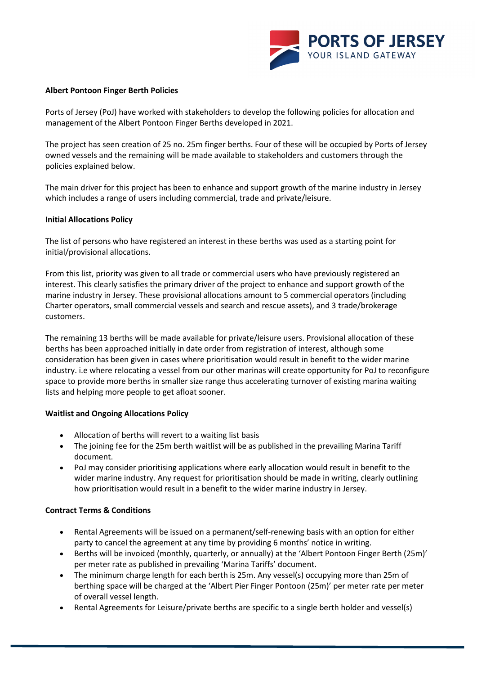

## **Albert Pontoon Finger Berth Policies**

Ports of Jersey (PoJ) have worked with stakeholders to develop the following policies for allocation and management of the Albert Pontoon Finger Berths developed in 2021.

The project has seen creation of 25 no. 25m finger berths. Four of these will be occupied by Ports of Jersey owned vessels and the remaining will be made available to stakeholders and customers through the policies explained below.

The main driver for this project has been to enhance and support growth of the marine industry in Jersey which includes a range of users including commercial, trade and private/leisure.

## **Initial Allocations Policy**

The list of persons who have registered an interest in these berths was used as a starting point for initial/provisional allocations.

From this list, priority was given to all trade or commercial users who have previously registered an interest. This clearly satisfies the primary driver of the project to enhance and support growth of the marine industry in Jersey. These provisional allocations amount to 5 commercial operators (including Charter operators, small commercial vessels and search and rescue assets), and 3 trade/brokerage customers.

The remaining 13 berths will be made available for private/leisure users. Provisional allocation of these berths has been approached initially in date order from registration of interest, although some consideration has been given in cases where prioritisation would result in benefit to the wider marine industry. i.e where relocating a vessel from our other marinas will create opportunity for PoJ to reconfigure space to provide more berths in smaller size range thus accelerating turnover of existing marina waiting lists and helping more people to get afloat sooner.

## **Waitlist and Ongoing Allocations Policy**

- Allocation of berths will revert to a waiting list basis
- The joining fee for the 25m berth waitlist will be as published in the prevailing Marina Tariff document.
- PoJ may consider prioritising applications where early allocation would result in benefit to the wider marine industry. Any request for prioritisation should be made in writing, clearly outlining how prioritisation would result in a benefit to the wider marine industry in Jersey.

## **Contract Terms & Conditions**

- Rental Agreements will be issued on a permanent/self-renewing basis with an option for either party to cancel the agreement at any time by providing 6 months' notice in writing.
- Berths will be invoiced (monthly, quarterly, or annually) at the 'Albert Pontoon Finger Berth (25m)' per meter rate as published in prevailing 'Marina Tariffs' document.
- The minimum charge length for each berth is 25m. Any vessel(s) occupying more than 25m of berthing space will be charged at the 'Albert Pier Finger Pontoon (25m)' per meter rate per meter of overall vessel length.
- Rental Agreements for Leisure/private berths are specific to a single berth holder and vessel(s)